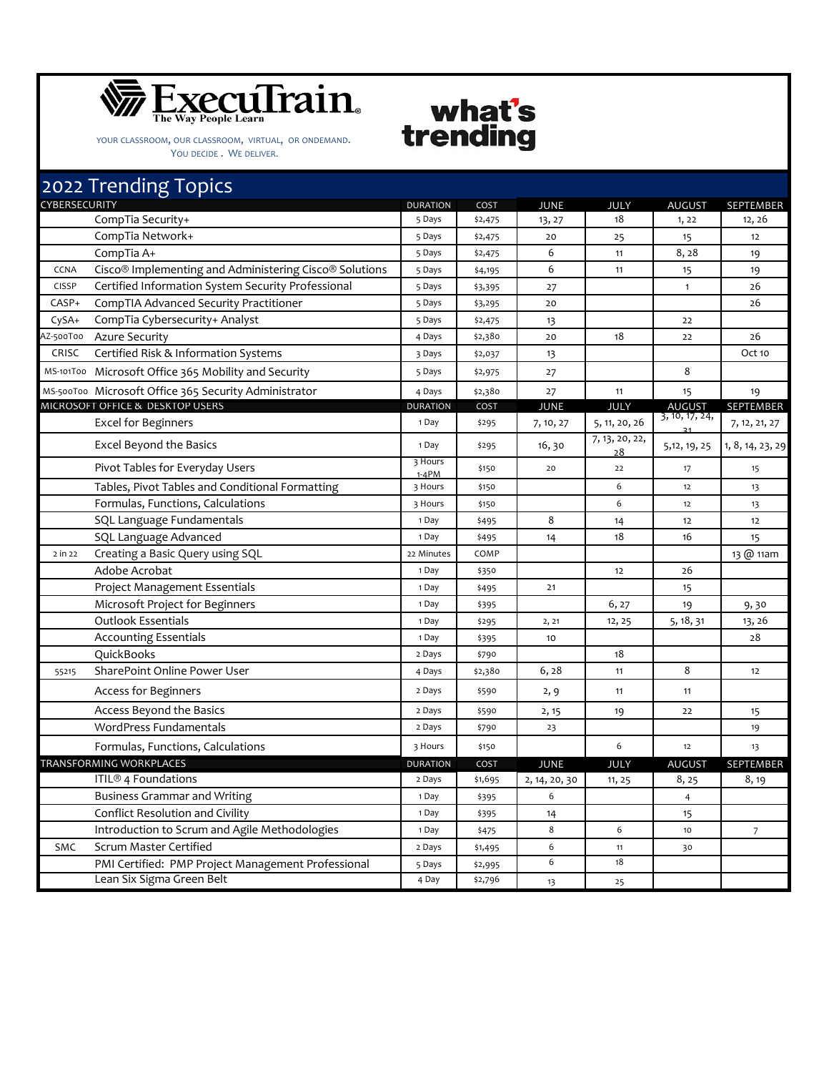

YOUR CLASSROOM, OUR CLASSROOM, VIRTUAL, OR ONDEMAND. YOU DECIDE. WE DELIVER.

## 2022 Trending Topics DURATION COST JUNE JULY AUGUST SEPTEMBER CompTia Security+ 12, 26 13, 27 13, 27 18 1, 22 12, 26 CompTia Network+ 1 12 CompTia A+ 5 Days \$2,475 6 11 8, 28 19 CCNA Cisco® Implementing and Administering Cisco® Solutions 5 Days \$4,195 6 11 15 19 CISSP Certified Information System Security Professional 5 Days \$3,395 27 26 1 1 26 CASP+ CompTIA Advanced Security Practitioner 5 Days \$3,295 20 26 CySA+ CompTia Cybersecurity+ Analyst 5 Days 5 Days \$2,475 13 13 AZ‐500T00 Azure Security 4 Days \$2,380 20 18 22 26 CRISC Certified Risk & Information Systems 3 Days 3 Days 3 2,037 13 13 13 CCt 10 MS-101T00 Microsoft Office 365 Mobility and Security **5 Days** 5 Days \$2,975 27 8 19 MS-500T00 Microsoft Office 365 Security Administrator و1 A Days | \$2,380 27 11 11 15 15 19 DURATION COST JUNE JULY AUGUST SEPTEMBER Excel for Beginners 1 200  $\frac{1}{2}$   $\frac{1}{2}$   $\frac{1}{2}$   $\frac{1}{2}$   $\frac{1}{2}$   $\frac{1}{2}$   $\frac{1}{2}$   $\frac{1}{2}$   $\frac{1}{2}$   $\frac{1}{2}$   $\frac{1}{2}$   $\frac{1}{2}$   $\frac{1}{2}$   $\frac{1}{2}$   $\frac{1}{2}$   $\frac{1}{2}$   $\frac{1}{2}$   $\frac{1}{2}$   $\frac{1}{2}$   $\frac{1$ <sup>31</sup> 7, 12, 21, <sup>27</sup> Excel Beyond the Basics <sup>1</sup> Day \$295 16, <sup>30</sup> 7, 13, 20, 22, <sup>28</sup> 5,12, 19, 25 1, 8, 14, 23, <sup>29</sup> Pivot Tables for Everyday Users 3 Hours  $1-4PM$  \$150 20 22 17 15 Tables, Pivot Tables and Conditional Formatting 13 Hours 13 Hours 150 12 13 13 Formulas, Functions, Calculations 3 Hours \$150 6 12 13 SQL Language Fundamentals 1  $\frac{1}{2}$  1 Day  $\frac{1}{2}$   $\frac{1}{2}$  14 12 12 12 SQL Language Advanced 1 Day \$495 14 18 16 15 2 in 22 Creating a Basic Query using SQL 22 Minutes 20 Minutes COMP 22 Minutes COMP 13 Q 11am Adobe Acrobat 1 Day \$350 12 26 Project Management Essentials 1 1 Day 1 1 Day 1 4495 21 15 Microsoft Project for Beginners 1 Day 1 Day 1 Bay 1 Assessment 1 Day 1 Bay 1 Assessment 1 Day 1 Bay 1 Assessment 1 Day 1 Bay 1 Assessment 1 Day 1 Bay 1 Assessment 1 Day 1 Bay 1 Assessment 1 Day 1 Bay 1 Assessment 1 Day 1 B Outlook Essentials 1 Day 1 Day 1 Day 1 2, 21 12, 25 5, 18, 31 13, 26 Accounting Essentials 1 Day \$395 10 28 QuickBooks 2 Days \$790 18 55215 SharePoint Online Power User 12 12 12 12 12 13 13 13 13 14 15 15 16 16 17 17 17 18 12 Access for Beginners 2 Days \$590 2, 9 11 11 Access Beyond the Basics 2 Days \$590 2, 15 19 22 15 WordPress Fundamentals 2 Days \$790 23 19 Formulas, Functions, Calculations 3 Hours \$150 6 12 13 DURATION COST JUNE JULY AUGUST SEPTEMBER  $\text{ITIL} \textcircled{3}$  4 Foundations 2 Days  $\left( \begin{array}{ccc} 2 \text{ days} & 3,695 \\ 2 \text{ days} & 2,14,20,30 \end{array} \right)$  11, 25  $\left( \begin{array}{ccc} 8,25 \\ 8,19 \end{array} \right)$ Business Grammar and Writing The Communication of the Communication of the Communication of the Communication of the Communication of the Communication of the Communication of the Communication of the Communication of the Conflict Resolution and Civility 1 Day 1 Day 1 \$395 14 15 Introduction to Scrum and Agile Methodologies 1 Day \$475 8 6 10 7 SMC Scrum Master Certified 2 Days \$1,495 6 11 30 PMI Certified: PMP Project Management Professional 5 Days \$2,995 6 18 Lean Six Sigma Green Belt  $4 \text{ Day}$   $\frac{25}{7}$   $\frac{13}{13}$  25 TRANSFORMING WORKPLACES **CYBERSECURITY** MICROSOFT OFFICE & DESKTOP USERS

what's

trending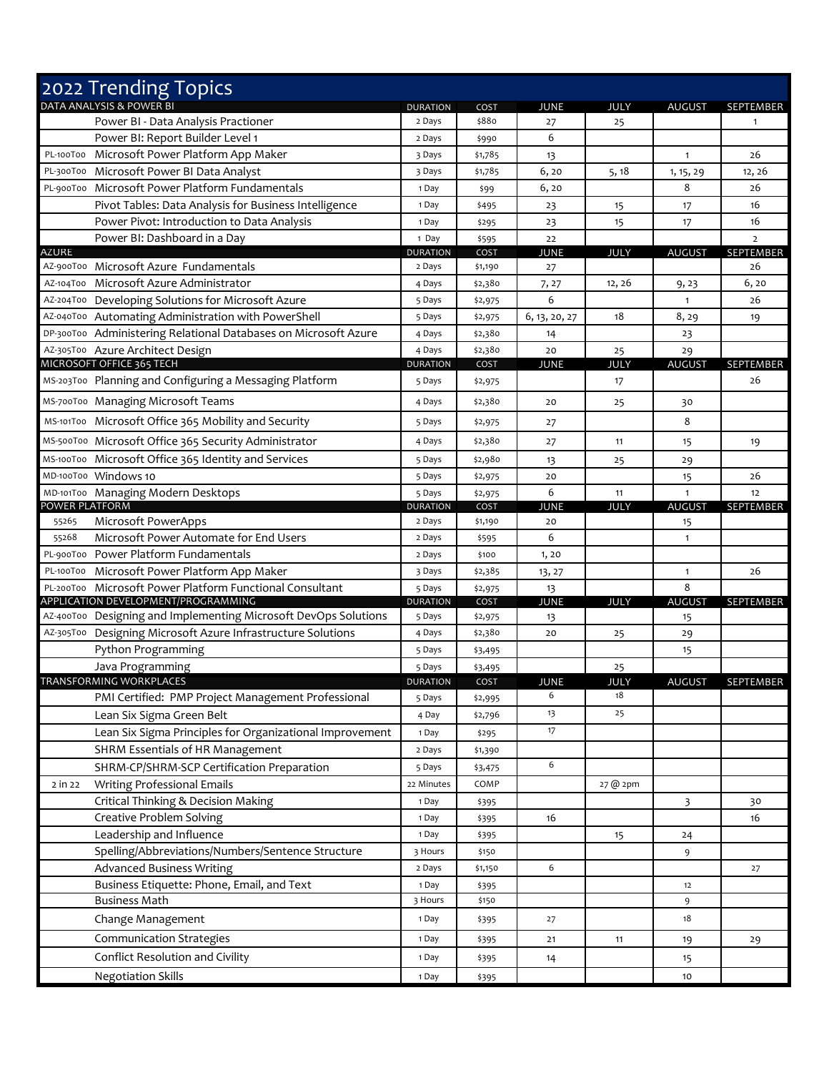|                | 2022 Trending Topics                                            |                           |                 |               |             |                               |                        |
|----------------|-----------------------------------------------------------------|---------------------------|-----------------|---------------|-------------|-------------------------------|------------------------|
|                | DATA ANALYSIS & POWER BI                                        | <b>DURATION</b>           | COST            | <b>JUNE</b>   | JULY        | <b>AUGUST</b>                 | SEPTEMBER              |
|                | Power BI - Data Analysis Practioner                             | 2 Days                    | \$880           | 27            | 25          |                               | $\mathbf{1}$           |
|                | Power BI: Report Builder Level 1                                | 2 Days                    | \$990           | 6             |             |                               |                        |
| PL-100T00      | Microsoft Power Platform App Maker                              | 3 Days                    | \$1,785         | 13            |             | $\mathbf{1}$                  | 26                     |
|                | PL-300T00 Microsoft Power BI Data Analyst                       | 3 Days                    | \$1,785         | 6, 20         | 5, 18       | 1, 15, 29                     | 12, 26                 |
| PL-900T00      | Microsoft Power Platform Fundamentals                           | 1 Day                     | \$99            | 6,20          |             | 8                             | 26                     |
|                | Pivot Tables: Data Analysis for Business Intelligence           | 1 Day                     | \$495           | 23            | 15          | 17                            | 16                     |
|                | Power Pivot: Introduction to Data Analysis                      | 1 Day                     | \$295           | 23            | 15          | 17                            | 16                     |
|                | Power BI: Dashboard in a Day                                    | 1 Day                     | \$595           | 22            |             |                               | $\overline{2}$         |
| AZURE          | AZ-900T00 Microsoft Azure Fundamentals                          | <b>DURATION</b>           | COST            | JUNE          | <b>JULY</b> | <b>AUGUST</b>                 | <b>SEPTEMBER</b><br>26 |
|                | AZ-104T00 Microsoft Azure Administrator                         | 2 Days                    | \$1,190         | 27            |             |                               | 6, 20                  |
|                | AZ-204T00 Developing Solutions for Microsoft Azure              | 4 Days                    | \$2,380         | 7, 27<br>6    | 12, 26      | 9,23<br>$\mathbf{1}$          | 26                     |
|                | AZ-040T00 Automating Administration with PowerShell             | 5 Days                    | \$2,975         |               | 18          |                               |                        |
|                | DP-300T00 Administering Relational Databases on Microsoft Azure | 5 Days                    | \$2,975         | 6, 13, 20, 27 |             | 8,29                          | 19                     |
|                |                                                                 | 4 Days                    | \$2,380         | 14<br>20      |             | 23                            |                        |
|                | AZ-305T00 Azure Architect Design<br>MICROSOFT OFFICE 365 TECH   | 4 Days<br><b>DURATION</b> | \$2,380<br>COST | JUNE          | 25<br>JULY  | 29<br><b>AUGUST</b>           | <b>SEPTEMBER</b>       |
|                | MS-203T00 Planning and Configuring a Messaging Platform         | 5 Days                    | \$2,975         |               | 17          |                               | 26                     |
|                | MS-700T00 Managing Microsoft Teams                              | 4 Days                    | \$2,380         | 20            | 25          | 30                            |                        |
|                | MS-101T00 Microsoft Office 365 Mobility and Security            | 5 Days                    |                 | 27            |             | 8                             |                        |
|                |                                                                 |                           | \$2,975         |               |             |                               |                        |
|                | MS-500T00 Microsoft Office 365 Security Administrator           | 4 Days                    | \$2,380         | 27            | 11          | 15                            | 19                     |
|                | MS-100T00 Microsoft Office 365 Identity and Services            | 5 Days                    | \$2,980         | 13            | 25          | 29                            |                        |
|                | MD-100T00 Windows 10                                            | 5 Days                    | \$2,975         | 20            |             | 15                            | 26                     |
| POWER PLATFORM | MD-101T00 Managing Modern Desktops                              | 5 Days<br><b>DURATION</b> | \$2,975<br>COST | 6<br>JUNE     | 11<br>JULY  | $\mathbf{1}$<br><b>AUGUST</b> | 12<br>SEPTEMBER        |
| 55265          | Microsoft PowerApps                                             | 2 Days                    | \$1,190         | 20            |             | 15                            |                        |
| 55268          | Microsoft Power Automate for End Users                          | 2 Days                    | \$595           | 6             |             | $\mathbf{1}$                  |                        |
|                | PL-900T00 Power Platform Fundamentals                           | 2 Days                    | \$100           | 1,20          |             |                               |                        |
|                | PL-100T00 Microsoft Power Platform App Maker                    | 3 Days                    | \$2,385         | 13, 27        |             | $\mathbf{1}$                  | 26                     |
|                | PL-200T00 Microsoft Power Platform Functional Consultant        | 5 Days                    | \$2,975         | 13            |             | 8                             |                        |
|                | APPLICATION DEVELOPMENT/PROGRAMMING                             | <b>DURATION</b>           | COST            | <b>JUNE</b>   | <b>JULY</b> | <b>AUGUST</b>                 | SEPTEMBER              |
|                | AZ-400T00 Designing and Implementing Microsoft DevOps Solutions | 5 Days                    | \$2,975         | 13            |             | 15                            |                        |
|                | AZ-305T00 Designing Microsoft Azure Infrastructure Solutions    | 4 Days                    | \$2,380         | 20            | 25          | 29                            |                        |
|                | Python Programming                                              | 5 Days                    | \$3,495         |               |             | 15                            |                        |
|                | Java Programming                                                | 5 Days                    | \$3,495         |               | 25          |                               |                        |
|                | <b>TRANSFORMING WORKPLACES</b>                                  | <b>DURATION</b>           | COST            | <b>IUNE</b>   | <b>IUIY</b> | AUGUST                        | <b>SEPTEMBER</b>       |
|                | PMI Certified: PMP Project Management Professional              | 5 Days                    | \$2,995         | 6             | 18          |                               |                        |
|                | Lean Six Sigma Green Belt                                       | 4 Day                     | \$2,796         | 13            | 25          |                               |                        |
|                | Lean Six Sigma Principles for Organizational Improvement        | 1 Day                     | \$295           | 17            |             |                               |                        |
|                | SHRM Essentials of HR Management                                | 2 Days                    | \$1,390         |               |             |                               |                        |
|                | SHRM-CP/SHRM-SCP Certification Preparation                      | 5 Days                    | \$3,475         | 6             |             |                               |                        |
| 2 in 22        | Writing Professional Emails                                     | 22 Minutes                | COMP            |               | 27 @ 2pm    |                               |                        |
|                | Critical Thinking & Decision Making                             | 1 Day                     | \$395           |               |             | 3                             | 30                     |
|                | Creative Problem Solving                                        | 1 Day                     | \$395           | 16            |             |                               | 16                     |
|                | Leadership and Influence                                        | 1 Day                     | \$395           |               | 15          | 24                            |                        |
|                | Spelling/Abbreviations/Numbers/Sentence Structure               | 3 Hours                   | \$150           |               |             | 9                             |                        |
|                | <b>Advanced Business Writing</b>                                | 2 Days                    | \$1,150         | 6             |             |                               | 27                     |
|                | Business Etiquette: Phone, Email, and Text                      | 1 Day                     | \$395           |               |             | 12                            |                        |
|                | <b>Business Math</b>                                            | 3 Hours                   | \$150           |               |             | 9                             |                        |
|                | Change Management                                               | 1 Day                     | \$395           | 27            |             | 18                            |                        |
|                | Communication Strategies                                        | 1 Day                     | \$395           | 21            | 11          | 19                            | 29                     |
|                | Conflict Resolution and Civility                                | 1 Day                     | \$395           | 14            |             | 15                            |                        |
|                | <b>Negotiation Skills</b>                                       | 1 Day                     | \$395           |               |             | 10                            |                        |